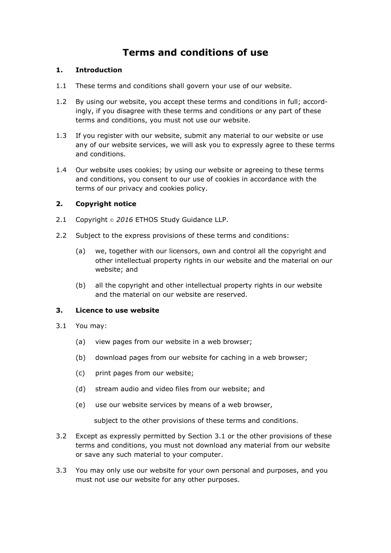# **Terms and conditions of use**

# **1. Introduction**

- 1.1 These terms and conditions shall govern your use of our website.
- 1.2 By using our website, you accept these terms and conditions in full; accordingly, if you disagree with these terms and conditions or any part of these terms and conditions, you must not use our website.
- 1.3 If you register with our website, submit any material to our website or use any of our website services, we will ask you to expressly agree to these terms and conditions.
- 1.4 Our website uses cookies; by using our website or agreeing to these terms and conditions, you consent to our use of cookies in accordance with the terms of our privacy and cookies policy.

# **2. Copyright notice**

- 2.1 Copyright © 2016 ETHOS Study Guidance LLP.
- 2.2 Subject to the express provisions of these terms and conditions:
	- (a) we, together with our licensors, own and control all the copyright and other intellectual property rights in our website and the material on our website; and
	- (b) all the copyright and other intellectual property rights in our website and the material on our website are reserved.

#### **3. Licence to use website**

- 3.1 You may:
	- (a) view pages from our website in a web browser;
	- (b) download pages from our website for caching in a web browser;
	- (c) print pages from our website;
	- (d) stream audio and video files from our website; and
	- (e) use our website services by means of a web browser,

subject to the other provisions of these terms and conditions.

- 3.2 Except as expressly permitted by Section 3.1 or the other provisions of these terms and conditions, you must not download any material from our website or save any such material to your computer.
- 3.3 You may only use our website for your own personal and purposes, and you must not use our website for any other purposes.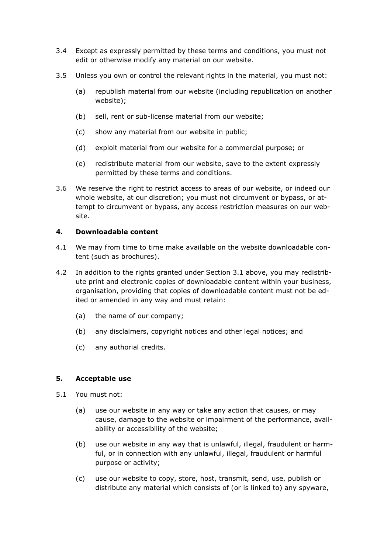- 3.4 Except as expressly permitted by these terms and conditions, you must not edit or otherwise modify any material on our website.
- 3.5 Unless you own or control the relevant rights in the material, you must not:
	- (a) republish material from our website (including republication on another website);
	- (b) sell, rent or sub-license material from our website;
	- (c) show any material from our website in public;
	- (d) exploit material from our website for a commercial purpose; or
	- (e) redistribute material from our website, save to the extent expressly permitted by these terms and conditions.
- 3.6 We reserve the right to restrict access to areas of our website, or indeed our whole website, at our discretion; you must not circumvent or bypass, or attempt to circumvent or bypass, any access restriction measures on our website.

#### **4. Downloadable content**

- 4.1 We may from time to time make available on the website downloadable content (such as brochures).
- 4.2 In addition to the rights granted under Section 3.1 above, you may redistribute print and electronic copies of downloadable content within your business, organisation, providing that copies of downloadable content must not be edited or amended in any way and must retain:
	- (a) the name of our company;
	- (b) any disclaimers, copyright notices and other legal notices; and
	- (c) any authorial credits.

# **5. Acceptable use**

- 5.1 You must not:
	- (a) use our website in any way or take any action that causes, or may cause, damage to the website or impairment of the performance, availability or accessibility of the website;
	- (b) use our website in any way that is unlawful, illegal, fraudulent or harmful, or in connection with any unlawful, illegal, fraudulent or harmful purpose or activity;
	- (c) use our website to copy, store, host, transmit, send, use, publish or distribute any material which consists of (or is linked to) any spyware,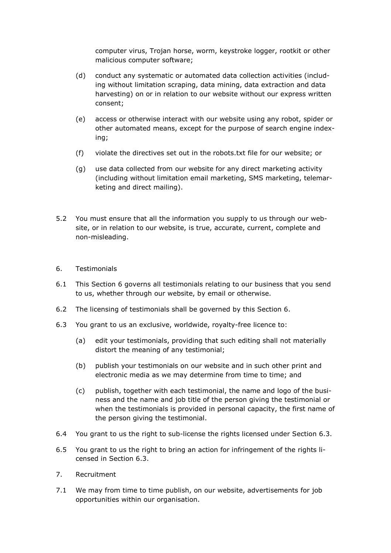computer virus, Trojan horse, worm, keystroke logger, rootkit or other malicious computer software;

- (d) conduct any systematic or automated data collection activities (including without limitation scraping, data mining, data extraction and data harvesting) on or in relation to our website without our express written consent;
- (e) access or otherwise interact with our website using any robot, spider or other automated means, except for the purpose of search engine indexing;
- (f) violate the directives set out in the robots.txt file for our website; or
- (g) use data collected from our website for any direct marketing activity (including without limitation email marketing, SMS marketing, telemarketing and direct mailing).
- 5.2 You must ensure that all the information you supply to us through our website, or in relation to our website, is true, accurate, current, complete and non-misleading.
- 6. Testimonials
- 6.1 This Section 6 governs all testimonials relating to our business that you send to us, whether through our website, by email or otherwise.
- 6.2 The licensing of testimonials shall be governed by this Section 6.
- 6.3 You grant to us an exclusive, worldwide, royalty-free licence to:
	- (a) edit your testimonials, providing that such editing shall not materially distort the meaning of any testimonial;
	- (b) publish your testimonials on our website and in such other print and electronic media as we may determine from time to time; and
	- (c) publish, together with each testimonial, the name and logo of the business and the name and job title of the person giving the testimonial or when the testimonials is provided in personal capacity, the first name of the person giving the testimonial.
- 6.4 You grant to us the right to sub-license the rights licensed under Section 6.3.
- 6.5 You grant to us the right to bring an action for infringement of the rights licensed in Section 6.3.
- 7. Recruitment
- 7.1 We may from time to time publish, on our website, advertisements for job opportunities within our organisation.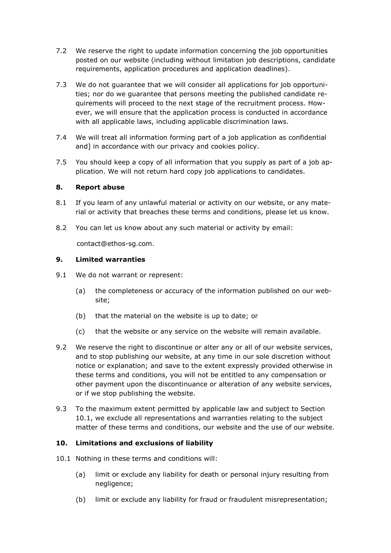- 7.2 We reserve the right to update information concerning the job opportunities posted on our website (including without limitation job descriptions, candidate requirements, application procedures and application deadlines).
- 7.3 We do not guarantee that we will consider all applications for job opportunities; nor do we guarantee that persons meeting the published candidate requirements will proceed to the next stage of the recruitment process. However, we will ensure that the application process is conducted in accordance with all applicable laws, including applicable discrimination laws.
- 7.4 We will treat all information forming part of a job application as confidential and] in accordance with our privacy and cookies policy.
- 7.5 You should keep a copy of all information that you supply as part of a job application. We will not return hard copy job applications to candidates.

#### **8. Report abuse**

- 8.1 If you learn of any unlawful material or activity on our website, or any material or activity that breaches these terms and conditions, please let us know.
- 8.2 You can let us know about any such material or activity by email:

contact@ethos-sg.com.

#### **9. Limited warranties**

- 9.1 We do not warrant or represent:
	- (a) the completeness or accuracy of the information published on our website;
	- (b) that the material on the website is up to date; or
	- (c) that the website or any service on the website will remain available.
- 9.2 We reserve the right to discontinue or alter any or all of our website services, and to stop publishing our website, at any time in our sole discretion without notice or explanation; and save to the extent expressly provided otherwise in these terms and conditions, you will not be entitled to any compensation or other payment upon the discontinuance or alteration of any website services, or if we stop publishing the website.
- 9.3 To the maximum extent permitted by applicable law and subject to Section 10.1, we exclude all representations and warranties relating to the subject matter of these terms and conditions, our website and the use of our website.

# **10. Limitations and exclusions of liability**

- 10.1 Nothing in these terms and conditions will:
	- (a) limit or exclude any liability for death or personal injury resulting from negligence;
	- (b) limit or exclude any liability for fraud or fraudulent misrepresentation;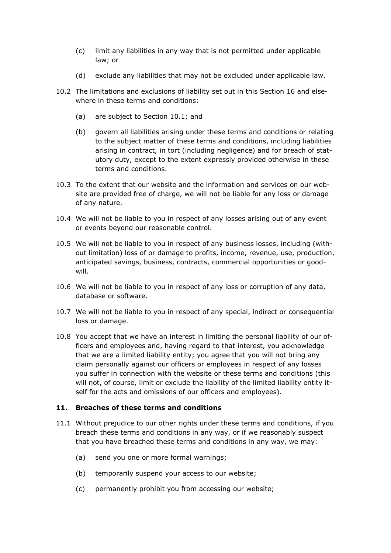- (c) limit any liabilities in any way that is not permitted under applicable law; or
- (d) exclude any liabilities that may not be excluded under applicable law.
- 10.2 The limitations and exclusions of liability set out in this Section 16 and elsewhere in these terms and conditions:
	- (a) are subject to Section 10.1; and
	- (b) govern all liabilities arising under these terms and conditions or relating to the subject matter of these terms and conditions, including liabilities arising in contract, in tort (including negligence) and for breach of statutory duty, except to the extent expressly provided otherwise in these terms and conditions.
- 10.3 To the extent that our website and the information and services on our website are provided free of charge, we will not be liable for any loss or damage of any nature.
- 10.4 We will not be liable to you in respect of any losses arising out of any event or events beyond our reasonable control.
- 10.5 We will not be liable to you in respect of any business losses, including (without limitation) loss of or damage to profits, income, revenue, use, production, anticipated savings, business, contracts, commercial opportunities or goodwill.
- 10.6 We will not be liable to you in respect of any loss or corruption of any data, database or software.
- 10.7 We will not be liable to you in respect of any special, indirect or consequential loss or damage.
- 10.8 You accept that we have an interest in limiting the personal liability of our officers and employees and, having regard to that interest, you acknowledge that we are a limited liability entity; you agree that you will not bring any claim personally against our officers or employees in respect of any losses you suffer in connection with the website or these terms and conditions (this will not, of course, limit or exclude the liability of the limited liability entity itself for the acts and omissions of our officers and employees).

# **11. Breaches of these terms and conditions**

- 11.1 Without prejudice to our other rights under these terms and conditions, if you breach these terms and conditions in any way, or if we reasonably suspect that you have breached these terms and conditions in any way, we may:
	- (a) send you one or more formal warnings;
	- (b) temporarily suspend your access to our website;
	- (c) permanently prohibit you from accessing our website;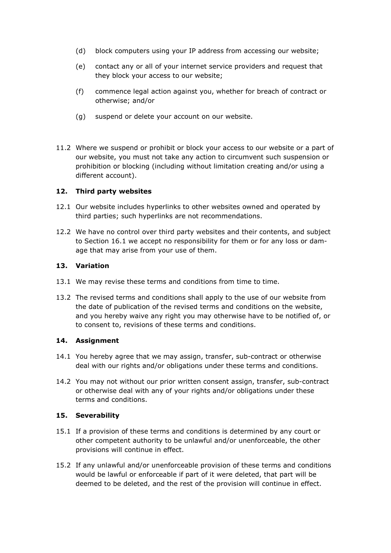- (d) block computers using your IP address from accessing our website;
- (e) contact any or all of your internet service providers and request that they block your access to our website;
- (f) commence legal action against you, whether for breach of contract or otherwise; and/or
- (g) suspend or delete your account on our website.
- 11.2 Where we suspend or prohibit or block your access to our website or a part of our website, you must not take any action to circumvent such suspension or prohibition or blocking (including without limitation creating and/or using a different account).

# **12. Third party websites**

- 12.1 Our website includes hyperlinks to other websites owned and operated by third parties; such hyperlinks are not recommendations.
- 12.2 We have no control over third party websites and their contents, and subject to Section 16.1 we accept no responsibility for them or for any loss or damage that may arise from your use of them.

#### **13. Variation**

- 13.1 We may revise these terms and conditions from time to time.
- 13.2 The revised terms and conditions shall apply to the use of our website from the date of publication of the revised terms and conditions on the website, and you hereby waive any right you may otherwise have to be notified of, or to consent to, revisions of these terms and conditions.

# **14. Assignment**

- 14.1 You hereby agree that we may assign, transfer, sub-contract or otherwise deal with our rights and/or obligations under these terms and conditions.
- 14.2 You may not without our prior written consent assign, transfer, sub-contract or otherwise deal with any of your rights and/or obligations under these terms and conditions.

# **15. Severability**

- 15.1 If a provision of these terms and conditions is determined by any court or other competent authority to be unlawful and/or unenforceable, the other provisions will continue in effect.
- 15.2 If any unlawful and/or unenforceable provision of these terms and conditions would be lawful or enforceable if part of it were deleted, that part will be deemed to be deleted, and the rest of the provision will continue in effect.